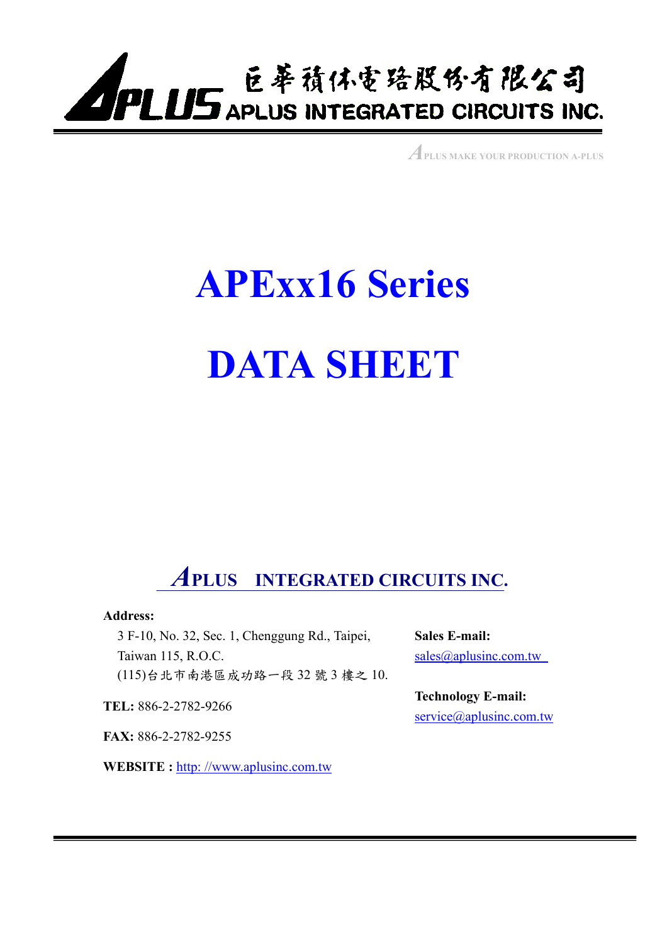

*A***PLUS MAKE YOUR PRODUCTION A-PLUS**

# **APExx16 Series DATA SHEET**

## *A***PLUS INTEGRATED CIRCUITS INC.**

#### **Address:**

3 F-10, No. 32, Sec. 1, Chenggung Rd., Taipei, Taiwan 115, R.O.C. (115)台北市南港區成功路㆒段 32 號 3 樓之 10.

**TEL:** 886-2-2782-9266

**FAX:** 886-2-2782-9255

**WEBSITE :** http: //www.aplusinc.com.tw

**Sales E-mail:**  sales@aplusinc.com.tw

**Technology E-mail:**  service@aplusinc.com.tw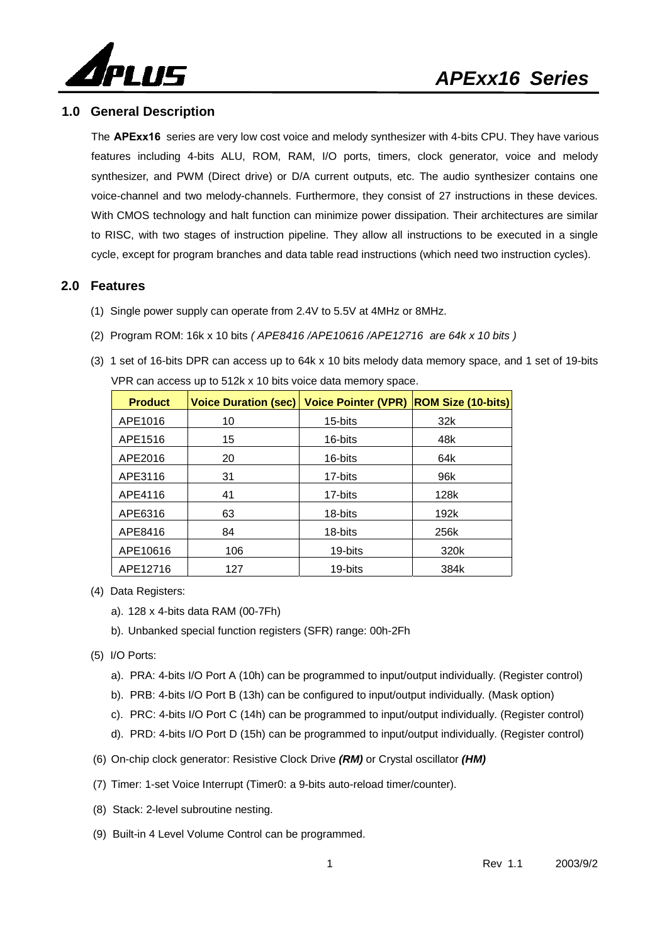



#### **1.0 General Description**

The **APExx16** series are very low cost voice and melody synthesizer with 4-bits CPU. They have various features including 4-bits ALU, ROM, RAM, I/O ports, timers, clock generator, voice and melody synthesizer, and PWM (Direct drive) or D/A current outputs, etc. The audio synthesizer contains one voice-channel and two melody-channels. Furthermore, they consist of 27 instructions in these devices. With CMOS technology and halt function can minimize power dissipation. Their architectures are similar to RISC, with two stages of instruction pipeline. They allow all instructions to be executed in a single cycle, except for program branches and data table read instructions (which need two instruction cycles).

#### **2.0 Features**

- (1) Single power supply can operate from 2.4V to 5.5V at 4MHz or 8MHz.
- (2) Program ROM: 16k x 10 bits *( APE8416 /APE10616 /APE12716 are 64k x 10 bits )*
- (3) 1 set of 16-bits DPR can access up to 64k x 10 bits melody data memory space, and 1 set of 19-bits VPR can access up to 512k x 10 bits voice data memory space.

| <b>Product</b> | <b>Voice Duration (sec)</b> | <b>Voice Pointer (VPR)</b> | <b>ROM Size (10-bits)</b> |
|----------------|-----------------------------|----------------------------|---------------------------|
| APE1016        | 10                          | 15-bits                    | 32k                       |
| APE1516        | 15                          | 16-bits                    | 48k                       |
| APE2016        | 20                          | 16-bits                    | 64k                       |
| APE3116        | 31                          | 17-bits                    | 96k                       |
| APE4116        | 41                          | 17-bits                    | 128k                      |
| APE6316        | 63                          | 18-bits                    | 192k                      |
| APE8416        | 84                          | 18-bits                    | 256k                      |
| APE10616       | 106                         | 19-bits                    | 320k                      |
| APE12716       | 127                         | 19-bits                    | 384k                      |

- (4) Data Registers:
	- a). 128 x 4-bits data RAM (00-7Fh)
	- b). Unbanked special function registers (SFR) range: 00h-2Fh
- (5) I/O Ports:
	- a). PRA: 4-bits I/O Port A (10h) can be programmed to input/output individually. (Register control)
	- b). PRB: 4-bits I/O Port B (13h) can be configured to input/output individually. (Mask option)
	- c). PRC: 4-bits I/O Port C (14h) can be programmed to input/output individually. (Register control)
	- d). PRD: 4-bits I/O Port D (15h) can be programmed to input/output individually. (Register control)
- (6) On-chip clock generator: Resistive Clock Drive *(RM)* or Crystal oscillator *(HM)*
- (7) Timer: 1-set Voice Interrupt (Timer0: a 9-bits auto-reload timer/counter).
- (8) Stack: 2-level subroutine nesting.
- (9) Built-in 4 Level Volume Control can be programmed.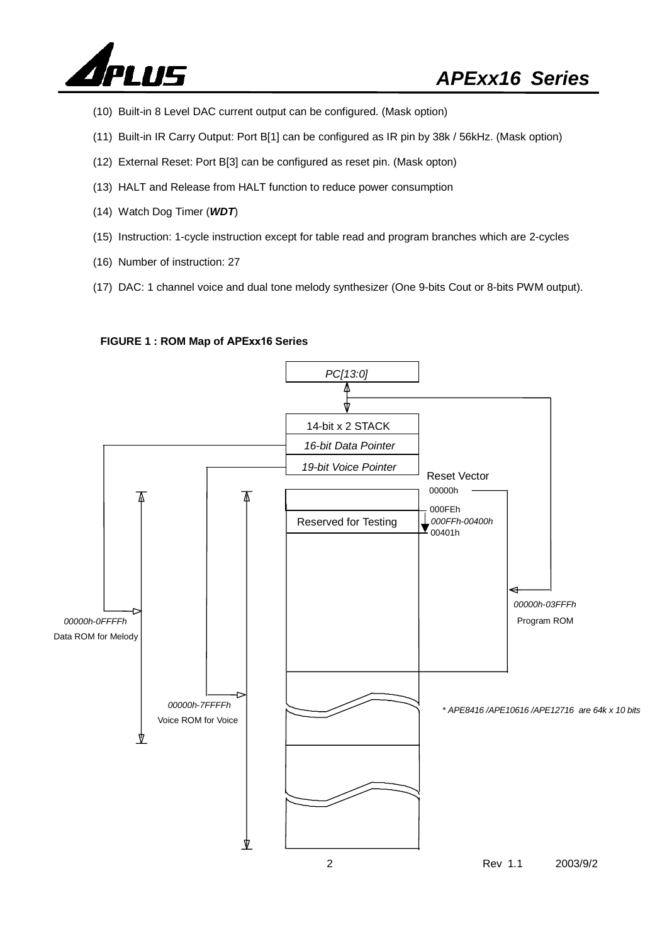

- (10) Built-in 8 Level DAC current output can be configured. (Mask option)
- (11) Built-in IR Carry Output: Port B[1] can be configured as IR pin by 38k / 56kHz. (Mask option)
- (12) External Reset: Port B[3] can be configured as reset pin. (Mask opton)
- (13) HALT and Release from HALT function to reduce power consumption
- (14) Watch Dog Timer (*WDT*)
- (15) Instruction: 1-cycle instruction except for table read and program branches which are 2-cycles
- (16) Number of instruction: 27
- (17) DAC: 1 channel voice and dual tone melody synthesizer (One 9-bits Cout or 8-bits PWM output).

#### **FIGURE 1 : ROM Map of APExx16 Series**

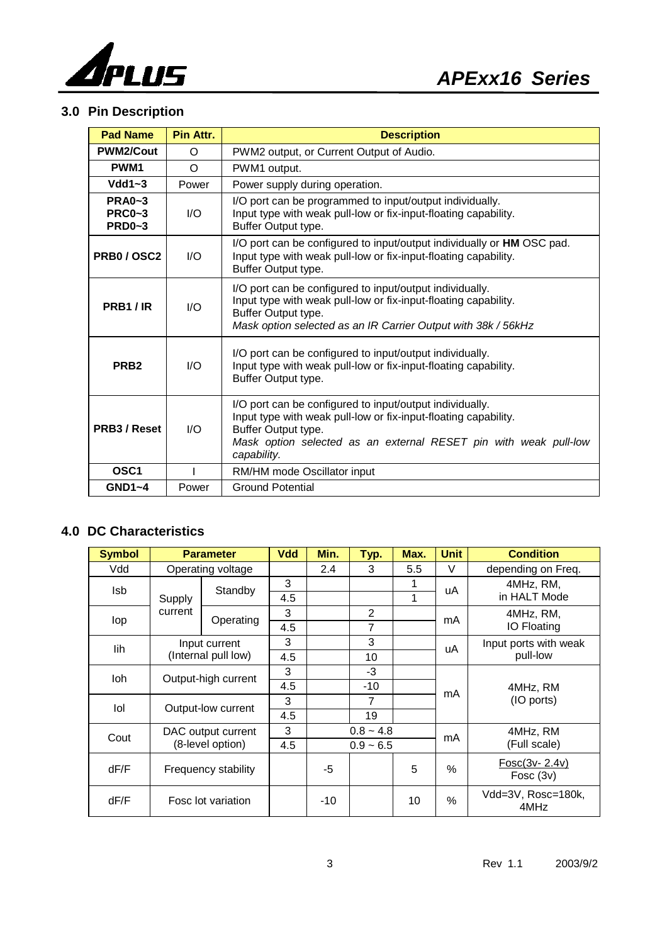

#### **3.0 Pin Description**

| <b>Pad Name</b>                            | Pin Attr.               | <b>Description</b>                                                                                                                                                                                                                    |
|--------------------------------------------|-------------------------|---------------------------------------------------------------------------------------------------------------------------------------------------------------------------------------------------------------------------------------|
| <b>PWM2/Cout</b>                           | O                       | PWM2 output, or Current Output of Audio.                                                                                                                                                                                              |
| PWM <sub>1</sub>                           | $\Omega$                | PWM1 output.                                                                                                                                                                                                                          |
| $Vdd1~-3$                                  | Power                   | Power supply during operation.                                                                                                                                                                                                        |
| $PRA0-3$<br><b>PRC0~3</b><br><b>PRD0~3</b> | $U$                     | I/O port can be programmed to input/output individually.<br>Input type with weak pull-low or fix-input-floating capability.<br>Buffer Output type.                                                                                    |
| <b>PRB0/OSC2</b>                           | $\mathsf{I}/\mathsf{O}$ | I/O port can be configured to input/output individually or HM OSC pad.<br>Input type with weak pull-low or fix-input-floating capability.<br>Buffer Output type.                                                                      |
| PRB1/IR                                    | 1/O                     | I/O port can be configured to input/output individually.<br>Input type with weak pull-low or fix-input-floating capability.<br>Buffer Output type.<br>Mask option selected as an IR Carrier Output with 38k / 56kHz                   |
| PRB <sub>2</sub>                           | $\mathsf{I}/\mathsf{O}$ | I/O port can be configured to input/output individually.<br>Input type with weak pull-low or fix-input-floating capability.<br>Buffer Output type.                                                                                    |
| PRB3 / Reset                               | 1/O                     | I/O port can be configured to input/output individually.<br>Input type with weak pull-low or fix-input-floating capability.<br>Buffer Output type.<br>Mask option selected as an external RESET pin with weak pull-low<br>capability. |
| OSC <sub>1</sub>                           |                         | RM/HM mode Oscillator input                                                                                                                                                                                                           |
| $GND1-4$                                   | Power                   | <b>Ground Potential</b>                                                                                                                                                                                                               |

#### **4.0 DC Characteristics**

| <b>Symbol</b> |                     | <b>Parameter</b>    |     | <b>Vdd</b><br>Min.<br>Typ.<br>Max. |                | <b>Unit</b> | <b>Condition</b> |                              |  |
|---------------|---------------------|---------------------|-----|------------------------------------|----------------|-------------|------------------|------------------------------|--|
| Vdd           |                     | Operating voltage   |     | 2.4                                | 3              | 5.5         | $\vee$           | depending on Freq.           |  |
| Isb           |                     | Standby             |     |                                    |                | 1           | uA               | 4MHz, RM,                    |  |
|               | Supply              |                     | 4.5 |                                    |                | 1           |                  | in HALT Mode                 |  |
| lop           | current             | Operating           | 3   |                                    | $\overline{2}$ |             | mA               | 4MHz, RM,                    |  |
|               |                     |                     | 4.5 |                                    | 7              |             |                  | IO Floating                  |  |
| lih           |                     | Input current       | 3   |                                    | 3              |             | uA               | Input ports with weak        |  |
|               |                     | (Internal pull low) | 4.5 |                                    | 10             |             |                  | pull-low                     |  |
| loh           |                     |                     | 3   |                                    | $-3$           |             |                  |                              |  |
|               | Output-high current |                     | 4.5 |                                    | $-10$          |             | mA               | 4MHz, RM<br>(IO ports)       |  |
| lol           |                     | Output-low current  |     |                                    | 7              |             |                  |                              |  |
|               |                     |                     |     |                                    | 19             |             |                  |                              |  |
| Cout          |                     | DAC output current  | 3   | $0.8 - 4.8$                        |                | mA          | 4MHz, RM         |                              |  |
|               |                     | (8-level option)    |     | $0.9 - 6.5$                        |                |             |                  | (Full scale)                 |  |
| dF/F          |                     | Frequency stability |     | -5                                 |                | 5           | $\%$             | Fosc(3v-2.4v)<br>Fosc $(3v)$ |  |
| dF/F          |                     | Fosc lot variation  |     | $-10$                              |                | 10          | %                | Vdd=3V, Rosc=180k,<br>4MHz   |  |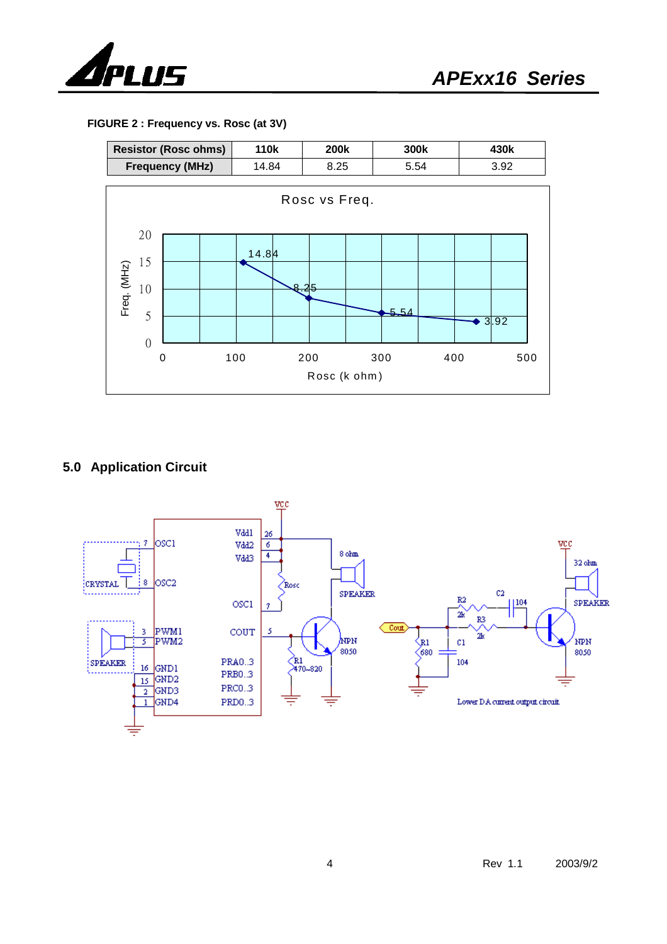

**FIGURE 2 : Frequency vs. Rosc (at 3V)** 



#### **5.0 Application Circuit**

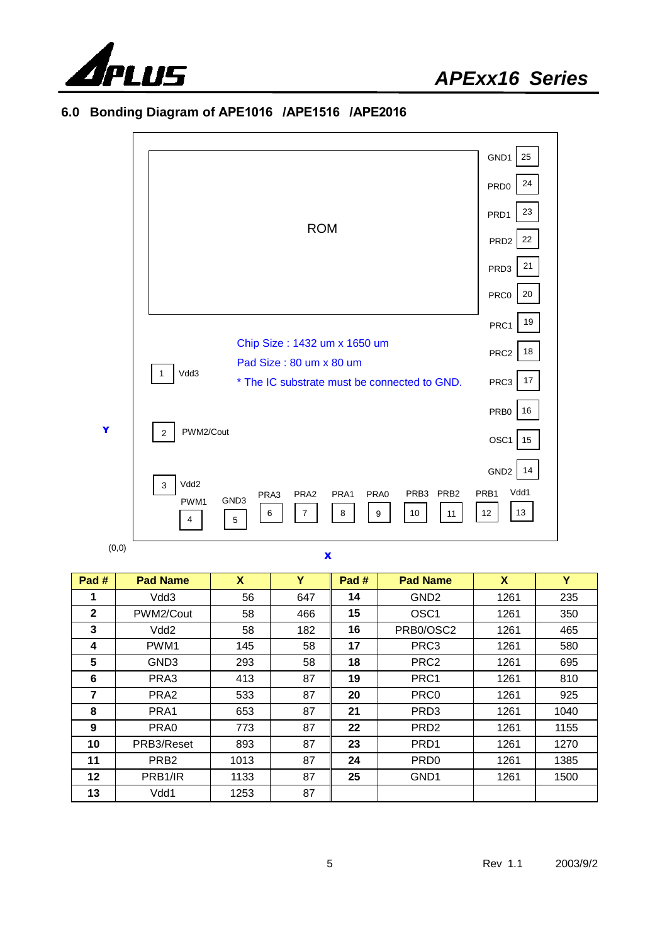

|   |                                                                                                                                                                                            | GND1<br>25                                                     |  |  |  |
|---|--------------------------------------------------------------------------------------------------------------------------------------------------------------------------------------------|----------------------------------------------------------------|--|--|--|
|   |                                                                                                                                                                                            | 24<br>PRD <sub>0</sub>                                         |  |  |  |
|   |                                                                                                                                                                                            | 23<br>PRD1                                                     |  |  |  |
|   | <b>ROM</b>                                                                                                                                                                                 | 22<br>PRD <sub>2</sub>                                         |  |  |  |
|   |                                                                                                                                                                                            | 21<br>PRD3                                                     |  |  |  |
|   |                                                                                                                                                                                            | 20<br>PRC0                                                     |  |  |  |
|   |                                                                                                                                                                                            | 19<br>PRC1                                                     |  |  |  |
|   | Chip Size: 1432 um x 1650 um<br>Pad Size: 80 um x 80 um                                                                                                                                    |                                                                |  |  |  |
|   | Vdd3<br>1<br>* The IC substrate must be connected to GND.                                                                                                                                  | $17$<br>PRC3                                                   |  |  |  |
|   |                                                                                                                                                                                            | 16<br>PRB <sub>0</sub>                                         |  |  |  |
| Y | PWM2/Cout<br>$\overline{2}$                                                                                                                                                                | OSC1<br>15                                                     |  |  |  |
|   | Vdd2<br>3<br>PRB <sub>3</sub><br>PRB <sub>2</sub><br>PRA0<br>PRA <sub>2</sub><br>PRA1<br>PRA3<br>GND <sub>3</sub><br>PWM1<br>$\overline{7}$<br>8<br>10<br>9<br>6<br>11<br>$\,$ 5 $\,$<br>Δ | 14<br>GND <sub>2</sub><br>Vdd1<br>PRB <sub>1</sub><br>13<br>12 |  |  |  |

#### **6.0 Bonding Diagram of APE1016 /APE1516 /APE2016**

 $(0,0)$ 

#### X

| Pad #        | <b>Pad Name</b>      | X    | Y   | Pad # | <b>Pad Name</b>  | X    | Y    |
|--------------|----------------------|------|-----|-------|------------------|------|------|
|              | Vdd3                 | 56   | 647 | 14    | GND <sub>2</sub> | 1261 | 235  |
| $\mathbf{2}$ | PWM2/Cout            | 58   | 466 | 15    | OSC <sub>1</sub> | 1261 | 350  |
| 3            | Vdd <sub>2</sub>     | 58   | 182 | 16    | PRB0/OSC2        | 1261 | 465  |
| 4            | PWM <sub>1</sub>     | 145  | 58  | 17    | PRC3             | 1261 | 580  |
| 5            | GND <sub>3</sub>     | 293  | 58  | 18    | PRC <sub>2</sub> | 1261 | 695  |
| 6            | PRA3                 | 413  | 87  | 19    | PRC1             | 1261 | 810  |
| 7            | PRA <sub>2</sub>     | 533  | 87  | 20    | PRC <sub>0</sub> | 1261 | 925  |
| 8            | PRA1                 | 653  | 87  | 21    | PRD <sub>3</sub> | 1261 | 1040 |
| 9            | PRA0                 | 773  | 87  | 22    | PRD <sub>2</sub> | 1261 | 1155 |
| 10           | PRB3/Reset           | 893  | 87  | 23    | PRD <sub>1</sub> | 1261 | 1270 |
| 11           | PRB <sub>2</sub>     | 1013 | 87  | 24    | PRD <sub>0</sub> | 1261 | 1385 |
| 12           | PRB <sub>1</sub> /IR | 1133 | 87  | 25    | GND <sub>1</sub> | 1261 | 1500 |
| 13           | Vdd1                 | 1253 | 87  |       |                  |      |      |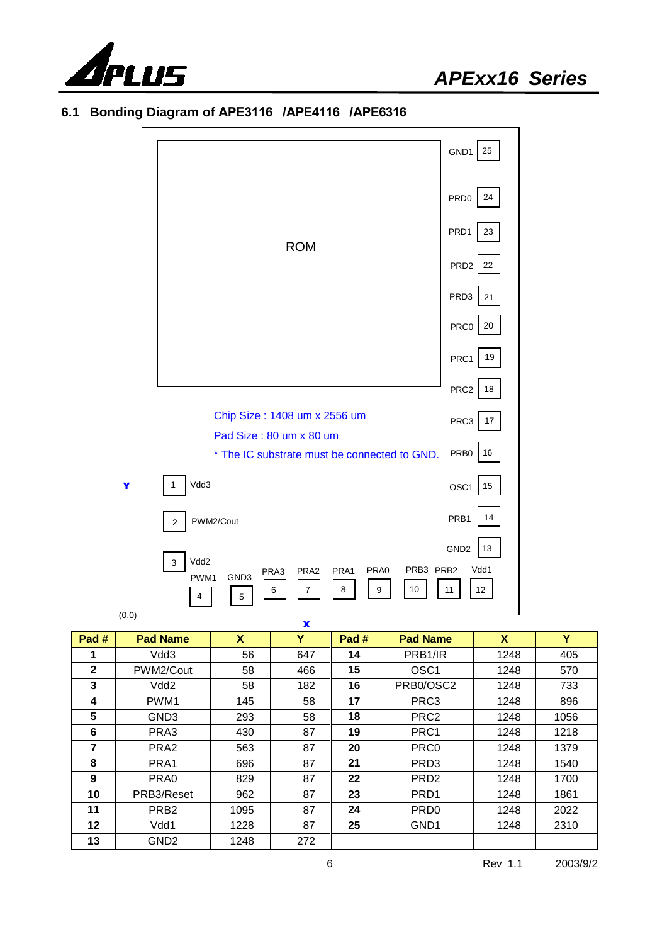

**6.1 Bonding Diagram of APE3116 /APE4116 /APE6316** 

|        |                                                                                                                        | GND1<br>25             |
|--------|------------------------------------------------------------------------------------------------------------------------|------------------------|
|        |                                                                                                                        | 24<br>PRD <sub>0</sub> |
|        | <b>ROM</b>                                                                                                             | PRD1<br>23             |
|        |                                                                                                                        | PRD <sub>2</sub><br>22 |
|        |                                                                                                                        | PRD3<br>21             |
|        |                                                                                                                        | $20\,$<br>PRC0         |
|        |                                                                                                                        | $19$<br>PRC1           |
|        |                                                                                                                        | PRC <sub>2</sub><br>18 |
|        | Chip Size: 1408 um x 2556 um<br>Pad Size: 80 um x 80 um                                                                | PRC3<br>$17\,$         |
|        | * The IC substrate must be connected to GND.                                                                           | PRB0<br>16             |
| Y      | Vdd3<br>$\mathbf{1}$                                                                                                   | OSC1<br>15             |
|        | PWM2/Cout<br>$\mathbf 2$                                                                                               | 14<br>PRB1             |
|        | Vdd2<br>3                                                                                                              | GND <sub>2</sub><br>13 |
| (0, 0) | PRB3 PRB2<br>PRA0<br>PRA2<br>PRA1<br>PRA3<br>GND <sub>3</sub><br>PWM1<br>$\overline{7}$<br>8<br>9<br>10<br>6<br>4<br>5 | Vdd1<br>12<br>11       |

|              | $\mathbf{v},\mathbf{v}$ |      | X   |       |                      |      |      |
|--------------|-------------------------|------|-----|-------|----------------------|------|------|
| Pad #        | <b>Pad Name</b>         | X    | Y   | Pad # | <b>Pad Name</b>      | X    | Y    |
| 1            | Vdd3                    | 56   | 647 | 14    | PRB <sub>1</sub> /IR | 1248 | 405  |
| $\mathbf{2}$ | PWM2/Cout               | 58   | 466 | 15    | OSC <sub>1</sub>     | 1248 | 570  |
| 3            | Vdd <sub>2</sub>        | 58   | 182 | 16    | PRB0/OSC2            | 1248 | 733  |
| 4            | PWM1                    | 145  | 58  | 17    | PRC3                 | 1248 | 896  |
| 5            | GND <sub>3</sub>        | 293  | 58  | 18    | PRC <sub>2</sub>     | 1248 | 1056 |
| 6            | PRA3                    | 430  | 87  | 19    | PRC1                 | 1248 | 1218 |
| 7            | PRA <sub>2</sub>        | 563  | 87  | 20    | PRC <sub>0</sub>     | 1248 | 1379 |
| 8            | PRA1                    | 696  | 87  | 21    | PRD <sub>3</sub>     | 1248 | 1540 |
| 9            | PRA0                    | 829  | 87  | 22    | PRD <sub>2</sub>     | 1248 | 1700 |
| 10           | PRB3/Reset              | 962  | 87  | 23    | PRD <sub>1</sub>     | 1248 | 1861 |
| 11           | PRB <sub>2</sub>        | 1095 | 87  | 24    | PR <sub>D0</sub>     | 1248 | 2022 |
| $12 \,$      | Vdd1                    | 1228 | 87  | 25    | GND <sub>1</sub>     | 1248 | 2310 |
| 13           | GND <sub>2</sub>        | 1248 | 272 |       |                      |      |      |